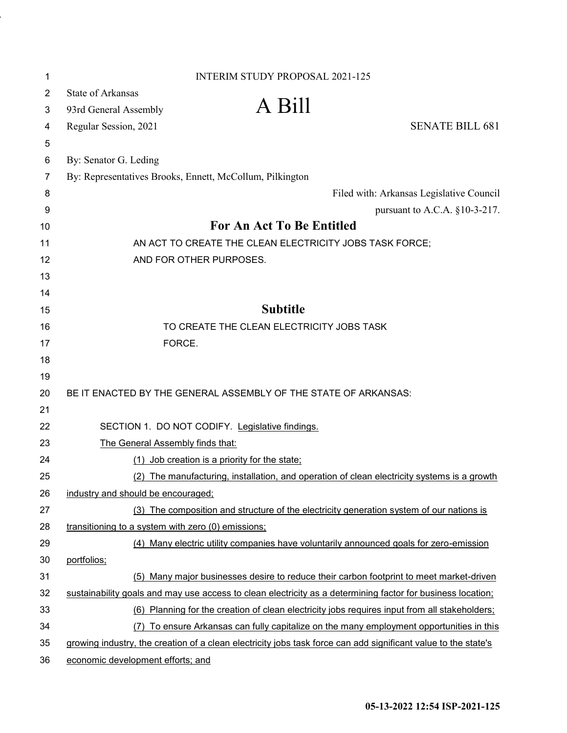| 1              | <b>INTERIM STUDY PROPOSAL 2021-125</b>                                                                         |
|----------------|----------------------------------------------------------------------------------------------------------------|
| $\overline{c}$ | <b>State of Arkansas</b>                                                                                       |
| 3              | A Bill<br>93rd General Assembly                                                                                |
| 4              | <b>SENATE BILL 681</b><br>Regular Session, 2021                                                                |
| 5              |                                                                                                                |
| 6              | By: Senator G. Leding                                                                                          |
| 7              | By: Representatives Brooks, Ennett, McCollum, Pilkington                                                       |
| 8              | Filed with: Arkansas Legislative Council                                                                       |
| 9              | pursuant to A.C.A. §10-3-217.                                                                                  |
| 10             | For An Act To Be Entitled                                                                                      |
| 11             | AN ACT TO CREATE THE CLEAN ELECTRICITY JOBS TASK FORCE;                                                        |
| 12             | AND FOR OTHER PURPOSES.                                                                                        |
| 13             |                                                                                                                |
| 14             | <b>Subtitle</b>                                                                                                |
| 15<br>16       | TO CREATE THE CLEAN ELECTRICITY JOBS TASK                                                                      |
| 17             | FORCE.                                                                                                         |
| 18             |                                                                                                                |
| 19             |                                                                                                                |
| 20             | BE IT ENACTED BY THE GENERAL ASSEMBLY OF THE STATE OF ARKANSAS:                                                |
| 21             |                                                                                                                |
| 22             | SECTION 1. DO NOT CODIFY. Legislative findings.                                                                |
| 23             | The General Assembly finds that:                                                                               |
| 24             | (1) Job creation is a priority for the state:                                                                  |
| 25             | (2) The manufacturing, installation, and operation of clean electricity systems is a growth                    |
| 26             | industry and should be encouraged;                                                                             |
| 27             | (3) The composition and structure of the electricity generation system of our nations is                       |
| 28             | transitioning to a system with zero (0) emissions;                                                             |
| 29             | (4) Many electric utility companies have voluntarily announced goals for zero-emission                         |
| 30             | portfolios;                                                                                                    |
| 31             | (5) Many major businesses desire to reduce their carbon footprint to meet market-driven                        |
| 32             | sustainability goals and may use access to clean electricity as a determining factor for business location;    |
| 33             | (6) Planning for the creation of clean electricity jobs requires input from all stakeholders;                  |
| 34             | (7) To ensure Arkansas can fully capitalize on the many employment opportunities in this                       |
| 35             | growing industry, the creation of a clean electricity jobs task force can add significant value to the state's |
| 36             | economic development efforts; and                                                                              |

 $\ddot{\phantom{0}}$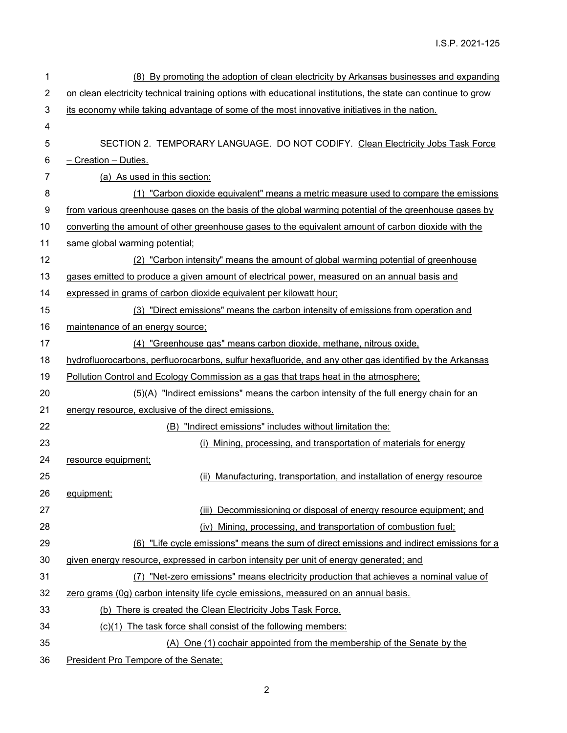| 1  | (8) By promoting the adoption of clean electricity by Arkansas businesses and expanding                       |
|----|---------------------------------------------------------------------------------------------------------------|
| 2  | on clean electricity technical training options with educational institutions, the state can continue to grow |
| 3  | its economy while taking advantage of some of the most innovative initiatives in the nation.                  |
| 4  |                                                                                                               |
| 5  | SECTION 2. TEMPORARY LANGUAGE. DO NOT CODIFY. Clean Electricity Jobs Task Force                               |
| 6  | - Creation - Duties.                                                                                          |
| 7  | (a) As used in this section:                                                                                  |
| 8  | (1) "Carbon dioxide equivalent" means a metric measure used to compare the emissions                          |
| 9  | from various greenhouse gases on the basis of the global warming potential of the greenhouse gases by         |
| 10 | converting the amount of other greenhouse gases to the equivalent amount of carbon dioxide with the           |
| 11 | same global warming potential;                                                                                |
| 12 | (2) "Carbon intensity" means the amount of global warming potential of greenhouse                             |
| 13 | gases emitted to produce a given amount of electrical power, measured on an annual basis and                  |
| 14 | expressed in grams of carbon dioxide equivalent per kilowatt hour;                                            |
| 15 | (3) "Direct emissions" means the carbon intensity of emissions from operation and                             |
| 16 | maintenance of an energy source:                                                                              |
| 17 | (4) "Greenhouse gas" means carbon dioxide, methane, nitrous oxide,                                            |
| 18 | hydrofluorocarbons, perfluorocarbons, sulfur hexafluoride, and any other gas identified by the Arkansas       |
| 19 | Pollution Control and Ecology Commission as a gas that traps heat in the atmosphere:                          |
| 20 | (5)(A) "Indirect emissions" means the carbon intensity of the full energy chain for an                        |
| 21 | energy resource, exclusive of the direct emissions.                                                           |
| 22 | (B) "Indirect emissions" includes without limitation the:                                                     |
| 23 | (i) Mining, processing, and transportation of materials for energy                                            |
| 24 | resource equipment;                                                                                           |
| 25 | (ii) Manufacturing, transportation, and installation of energy resource                                       |
| 26 | equipment;                                                                                                    |
| 27 | (iii) Decommissioning or disposal of energy resource equipment; and                                           |
| 28 | (iv) Mining, processing, and transportation of combustion fuel;                                               |
| 29 | (6) "Life cycle emissions" means the sum of direct emissions and indirect emissions for a                     |
| 30 | given energy resource, expressed in carbon intensity per unit of energy generated; and                        |
| 31 | (7) "Net-zero emissions" means electricity production that achieves a nominal value of                        |
| 32 | zero grams (0g) carbon intensity life cycle emissions, measured on an annual basis.                           |
| 33 | (b) There is created the Clean Electricity Jobs Task Force.                                                   |
| 34 | (c)(1) The task force shall consist of the following members:                                                 |
| 35 | (A) One (1) cochair appointed from the membership of the Senate by the                                        |
| 36 | President Pro Tempore of the Senate:                                                                          |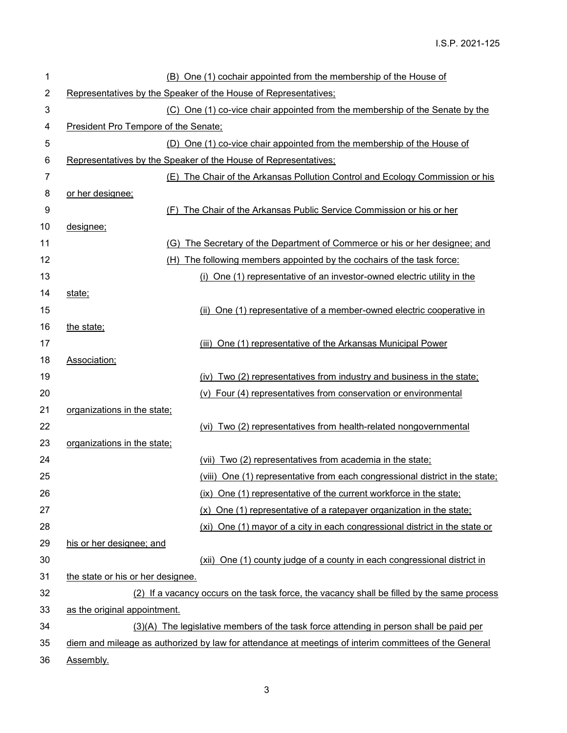| 1              |                                      | (B) One (1) cochair appointed from the membership of the House of                                     |
|----------------|--------------------------------------|-------------------------------------------------------------------------------------------------------|
| $\overline{2}$ |                                      | Representatives by the Speaker of the House of Representatives;                                       |
| 3              |                                      | (C) One (1) co-vice chair appointed from the membership of the Senate by the                          |
| 4              | President Pro Tempore of the Senate; |                                                                                                       |
| 5              |                                      | (D) One (1) co-vice chair appointed from the membership of the House of                               |
| 6              |                                      | Representatives by the Speaker of the House of Representatives;                                       |
| 7              |                                      | (E) The Chair of the Arkansas Pollution Control and Ecology Commission or his                         |
| 8              | or her designee;                     |                                                                                                       |
| 9              |                                      | (F) The Chair of the Arkansas Public Service Commission or his or her                                 |
| 10             | designee;                            |                                                                                                       |
| 11             |                                      | (G) The Secretary of the Department of Commerce or his or her designee; and                           |
| 12             |                                      | (H) The following members appointed by the cochairs of the task force:                                |
| 13             |                                      | (i) One (1) representative of an investor-owned electric utility in the                               |
| 14             | state;                               |                                                                                                       |
| 15             |                                      | (ii) One (1) representative of a member-owned electric cooperative in                                 |
| 16             | the state;                           |                                                                                                       |
| 17             |                                      | (iii) One (1) representative of the Arkansas Municipal Power                                          |
| 18             | Association;                         |                                                                                                       |
| 19             |                                      | (iv) Two (2) representatives from industry and business in the state:                                 |
| 20             |                                      | (v) Four (4) representatives from conservation or environmental                                       |
| 21             | organizations in the state:          |                                                                                                       |
| 22             |                                      | (vi) Two (2) representatives from health-related nongovernmental                                      |
| 23             | organizations in the state;          |                                                                                                       |
| 24             |                                      | (vii) Two (2) representatives from academia in the state;                                             |
| 25             |                                      | (viii) One (1) representative from each congressional district in the state;                          |
| 26             |                                      | (ix) One (1) representative of the current workforce in the state;                                    |
| 27             |                                      | (x) One (1) representative of a ratepayer organization in the state:                                  |
| 28             |                                      | (xi) One (1) mayor of a city in each congressional district in the state or                           |
| 29             | his or her designee; and             |                                                                                                       |
| 30             |                                      | (xii) One (1) county judge of a county in each congressional district in                              |
| 31             | the state or his or her designee.    |                                                                                                       |
| 32             |                                      | (2) If a vacancy occurs on the task force, the vacancy shall be filled by the same process            |
| 33             | as the original appointment.         |                                                                                                       |
| 34             |                                      | (3)(A) The legislative members of the task force attending in person shall be paid per                |
| 35             |                                      | diem and mileage as authorized by law for attendance at meetings of interim committees of the General |
| 36             | Assembly.                            |                                                                                                       |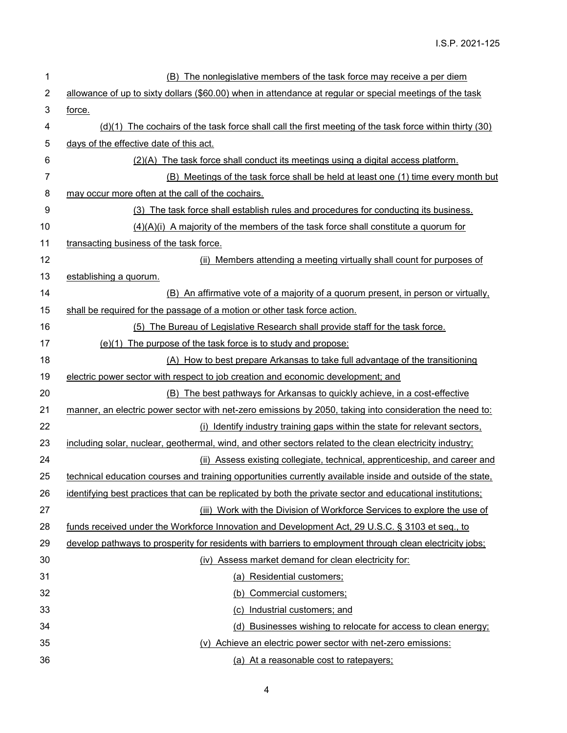| 1  | (B) The nonlegislative members of the task force may receive a per diem                                     |
|----|-------------------------------------------------------------------------------------------------------------|
| 2  | allowance of up to sixty dollars (\$60.00) when in attendance at regular or special meetings of the task    |
| 3  | force.                                                                                                      |
| 4  | (d)(1) The cochairs of the task force shall call the first meeting of the task force within thirty (30)     |
| 5  | days of the effective date of this act.                                                                     |
| 6  | (2)(A) The task force shall conduct its meetings using a digital access platform.                           |
| 7  | (B) Meetings of the task force shall be held at least one (1) time every month but                          |
| 8  | may occur more often at the call of the cochairs.                                                           |
| 9  | (3) The task force shall establish rules and procedures for conducting its business.                        |
| 10 | $(4)(A)(i)$ A majority of the members of the task force shall constitute a quorum for                       |
| 11 | transacting business of the task force.                                                                     |
| 12 | (ii) Members attending a meeting virtually shall count for purposes of                                      |
| 13 | establishing a quorum.                                                                                      |
| 14 | (B) An affirmative vote of a majority of a quorum present, in person or virtually,                          |
| 15 | shall be required for the passage of a motion or other task force action.                                   |
| 16 | (5) The Bureau of Legislative Research shall provide staff for the task force.                              |
| 17 | (e)(1) The purpose of the task force is to study and propose:                                               |
| 18 | (A) How to best prepare Arkansas to take full advantage of the transitioning                                |
| 19 | electric power sector with respect to job creation and economic development; and                            |
| 20 | (B) The best pathways for Arkansas to quickly achieve, in a cost-effective                                  |
| 21 | manner, an electric power sector with net-zero emissions by 2050, taking into consideration the need to:    |
| 22 | (i) Identify industry training gaps within the state for relevant sectors.                                  |
| 23 | including solar, nuclear, geothermal, wind, and other sectors related to the clean electricity industry;    |
| 24 | (ii) Assess existing collegiate, technical, apprenticeship, and career and                                  |
| 25 | technical education courses and training opportunities currently available inside and outside of the state, |
| 26 | identifying best practices that can be replicated by both the private sector and educational institutions;  |
| 27 | (iii) Work with the Division of Workforce Services to explore the use of                                    |
| 28 | funds received under the Workforce Innovation and Development Act, 29 U.S.C. § 3103 et seq., to             |
| 29 | develop pathways to prosperity for residents with barriers to employment through clean electricity jobs;    |
| 30 | (iv) Assess market demand for clean electricity for:                                                        |
| 31 | (a) Residential customers;                                                                                  |
| 32 | (b) Commercial customers;                                                                                   |
| 33 | (c) Industrial customers; and                                                                               |
| 34 | (d) Businesses wishing to relocate for access to clean energy;                                              |
| 35 | (v) Achieve an electric power sector with net-zero emissions:                                               |
| 36 | (a) At a reasonable cost to ratepayers;                                                                     |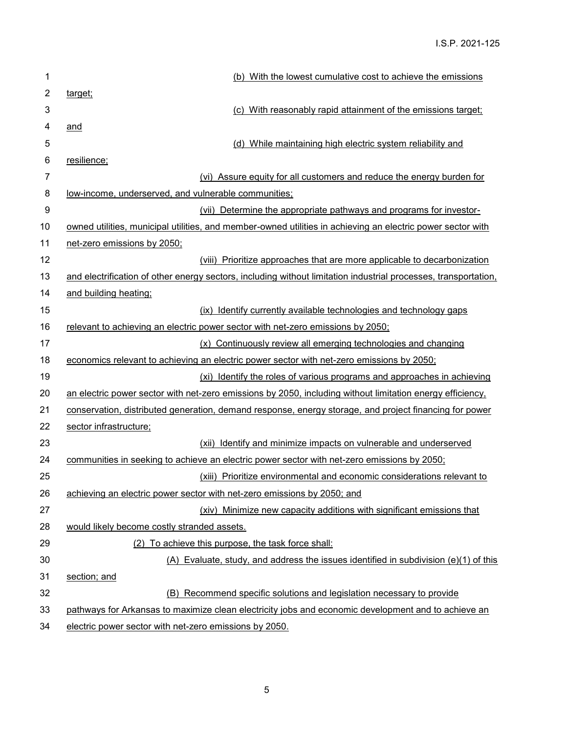| 1              | (b) With the lowest cumulative cost to achieve the emissions                                                    |
|----------------|-----------------------------------------------------------------------------------------------------------------|
| $\overline{c}$ | target;                                                                                                         |
| 3              | (c) With reasonably rapid attainment of the emissions target;                                                   |
| 4              | and                                                                                                             |
| 5              | (d) While maintaining high electric system reliability and                                                      |
| 6              | resilience;                                                                                                     |
| $\overline{7}$ | (vi) Assure equity for all customers and reduce the energy burden for                                           |
| 8              | low-income, underserved, and vulnerable communities;                                                            |
| 9              | (vii) Determine the appropriate pathways and programs for investor-                                             |
| 10             | owned utilities, municipal utilities, and member-owned utilities in achieving an electric power sector with     |
| 11             | net-zero emissions by 2050;                                                                                     |
| 12             | (viii) Prioritize approaches that are more applicable to decarbonization                                        |
| 13             | and electrification of other energy sectors, including without limitation industrial processes, transportation, |
| 14             | and building heating;                                                                                           |
| 15             | (ix) Identify currently available technologies and technology gaps                                              |
| 16             | relevant to achieving an electric power sector with net-zero emissions by 2050;                                 |
| 17             | (x) Continuously review all emerging technologies and changing                                                  |
| 18             | economics relevant to achieving an electric power sector with net-zero emissions by 2050;                       |
| 19             | (xi) Identify the roles of various programs and approaches in achieving                                         |
| 20             | an electric power sector with net-zero emissions by 2050, including without limitation energy efficiency,       |
| 21             | conservation, distributed generation, demand response, energy storage, and project financing for power          |
| 22             | sector infrastructure;                                                                                          |
| 23             | (xii) Identify and minimize impacts on vulnerable and underserved                                               |
| 24             | communities in seeking to achieve an electric power sector with net-zero emissions by 2050;                     |
| 25             | (xiii) Prioritize environmental and economic considerations relevant to                                         |
| 26             | achieving an electric power sector with net-zero emissions by 2050; and                                         |
| 27             | (xiv) Minimize new capacity additions with significant emissions that                                           |
| 28             | would likely become costly stranded assets.                                                                     |
| 29             | (2) To achieve this purpose, the task force shall:                                                              |
| 30             | (A) Evaluate, study, and address the issues identified in subdivision $(e)(1)$ of this                          |
| 31             | section; and                                                                                                    |
| 32             | (B) Recommend specific solutions and legislation necessary to provide                                           |
| 33             | pathways for Arkansas to maximize clean electricity jobs and economic development and to achieve an             |
| 34             | electric power sector with net-zero emissions by 2050.                                                          |